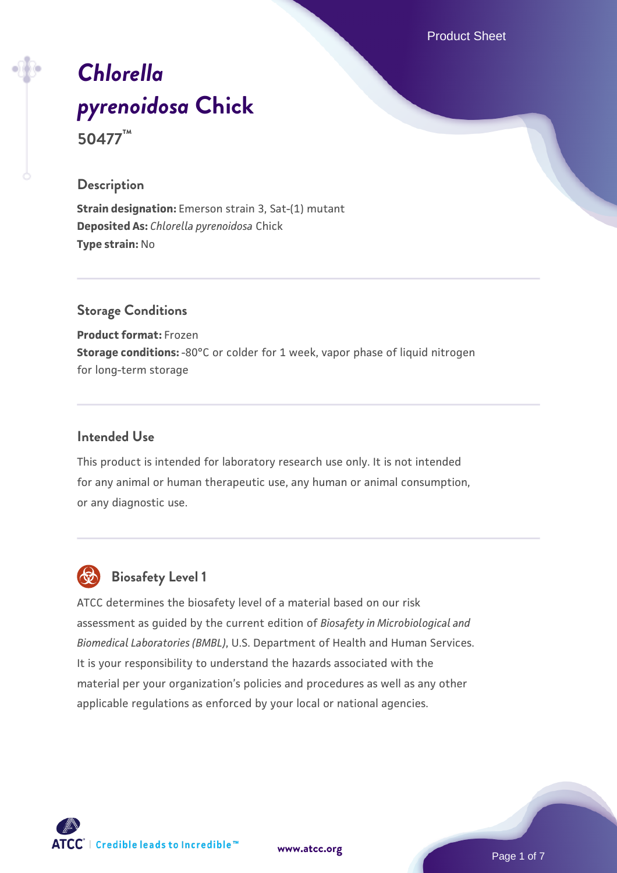Product Sheet

# *[Chlorella](https://www.atcc.org/products/50477) [pyrenoidosa](https://www.atcc.org/products/50477)* **[Chick](https://www.atcc.org/products/50477) 50477™**

# **Description**

**Strain designation:** Emerson strain 3, Sat-(1) mutant **Deposited As:** *Chlorella pyrenoidosa* Chick **Type strain:** No

# **Storage Conditions**

**Product format:** Frozen **Storage conditions:** -80°C or colder for 1 week, vapor phase of liquid nitrogen for long-term storage

## **Intended Use**

This product is intended for laboratory research use only. It is not intended for any animal or human therapeutic use, any human or animal consumption, or any diagnostic use.



# **Biosafety Level 1**

ATCC determines the biosafety level of a material based on our risk assessment as guided by the current edition of *Biosafety in Microbiological and Biomedical Laboratories (BMBL)*, U.S. Department of Health and Human Services. It is your responsibility to understand the hazards associated with the material per your organization's policies and procedures as well as any other applicable regulations as enforced by your local or national agencies.



**[www.atcc.org](http://www.atcc.org)**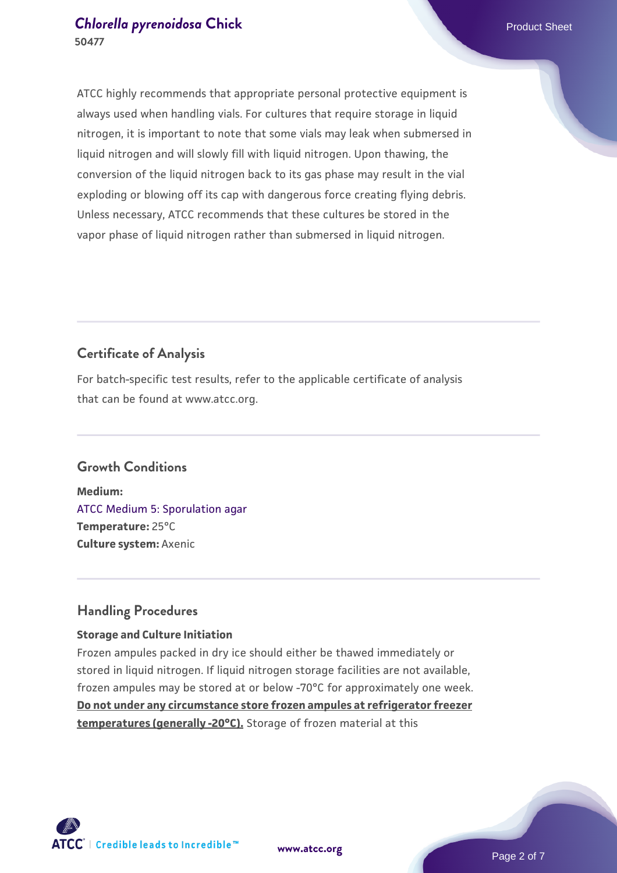ATCC highly recommends that appropriate personal protective equipment is always used when handling vials. For cultures that require storage in liquid nitrogen, it is important to note that some vials may leak when submersed in liquid nitrogen and will slowly fill with liquid nitrogen. Upon thawing, the conversion of the liquid nitrogen back to its gas phase may result in the vial exploding or blowing off its cap with dangerous force creating flying debris. Unless necessary, ATCC recommends that these cultures be stored in the vapor phase of liquid nitrogen rather than submersed in liquid nitrogen.

# **Certificate of Analysis**

For batch-specific test results, refer to the applicable certificate of analysis that can be found at www.atcc.org.

# **Growth Conditions**

**Medium:**  [ATCC Medium 5: Sporulation agar](https://www.atcc.org/-/media/product-assets/documents/microbial-media-formulations/5/atcc-medium-5.pdf?rev=f9d3d12baa104f8aa0bde1ccc0f81004) **Temperature:** 25°C **Culture system:** Axenic

# **Handling Procedures**

## **Storage and Culture Initiation**

Frozen ampules packed in dry ice should either be thawed immediately or stored in liquid nitrogen. If liquid nitrogen storage facilities are not available, frozen ampules may be stored at or below -70°C for approximately one week. **Do not under any circumstance store frozen ampules at refrigerator freezer temperatures (generally -20°C).** Storage of frozen material at this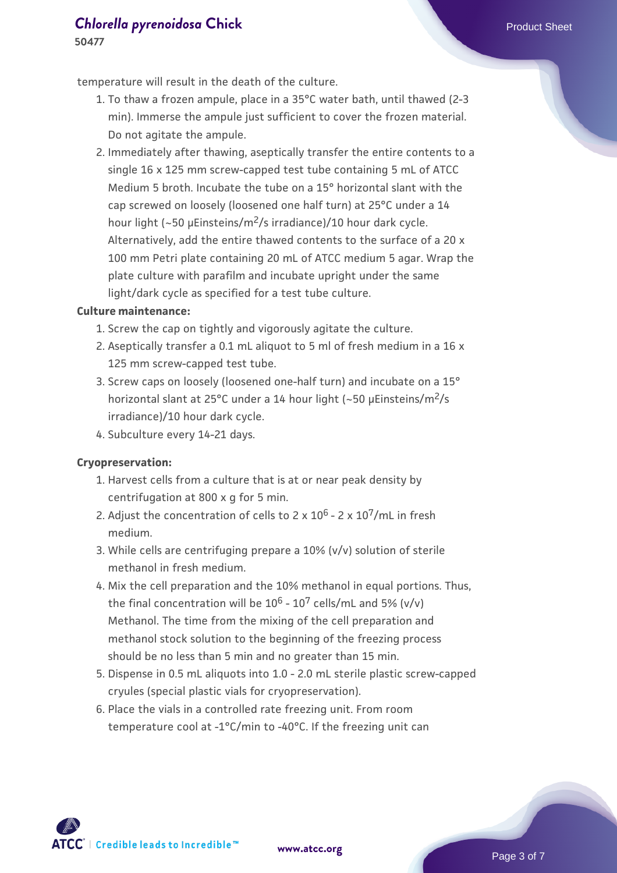temperature will result in the death of the culture.

- To thaw a frozen ampule, place in a 35°C water bath, until thawed (2-3 1. min). Immerse the ampule just sufficient to cover the frozen material. Do not agitate the ampule.
- 2. Immediately after thawing, aseptically transfer the entire contents to a single 16 x 125 mm screw-capped test tube containing 5 mL of ATCC Medium 5 broth. Incubate the tube on a 15° horizontal slant with the cap screwed on loosely (loosened one half turn) at 25°C under a 14 hour light (~50 µEinsteins/m<sup>2</sup>/s irradiance)/10 hour dark cycle. Alternatively, add the entire thawed contents to the surface of a 20 x 100 mm Petri plate containing 20 mL of ATCC medium 5 agar. Wrap the plate culture with parafilm and incubate upright under the same light/dark cycle as specified for a test tube culture.

#### **Culture maintenance:**

- 1. Screw the cap on tightly and vigorously agitate the culture.
- 2. Aseptically transfer a 0.1 mL aliquot to 5 ml of fresh medium in a 16 x 125 mm screw-capped test tube.
- Screw caps on loosely (loosened one-half turn) and incubate on a 15° 3. horizontal slant at 25°C under a 14 hour light (~50 µEinsteins/m<sup>2</sup>/s irradiance)/10 hour dark cycle.
- 4. Subculture every 14-21 days.

#### **Cryopreservation:**

- 1. Harvest cells from a culture that is at or near peak density by centrifugation at 800 x g for 5 min.
- 2. Adjust the concentration of cells to 2 x 10<sup>6</sup> 2 x 10<sup>7</sup>/mL in fresh medium.
- While cells are centrifuging prepare a 10% (v/v) solution of sterile 3. methanol in fresh medium.
- 4. Mix the cell preparation and the 10% methanol in equal portions. Thus, the final concentration will be  $10^6$  -  $10^7$  cells/mL and 5% (v/v) Methanol. The time from the mixing of the cell preparation and methanol stock solution to the beginning of the freezing process should be no less than 5 min and no greater than 15 min.
- 5. Dispense in 0.5 mL aliquots into 1.0 2.0 mL sterile plastic screw-capped cryules (special plastic vials for cryopreservation).
- 6. Place the vials in a controlled rate freezing unit. From room temperature cool at -1°C/min to -40°C. If the freezing unit can

 $\mathsf{ATCC}^{\dagger} \mid \mathsf{Credible}\$  leads to Incredible  $\mathsf{m}$ 

**[www.atcc.org](http://www.atcc.org)**

Page 3 of 7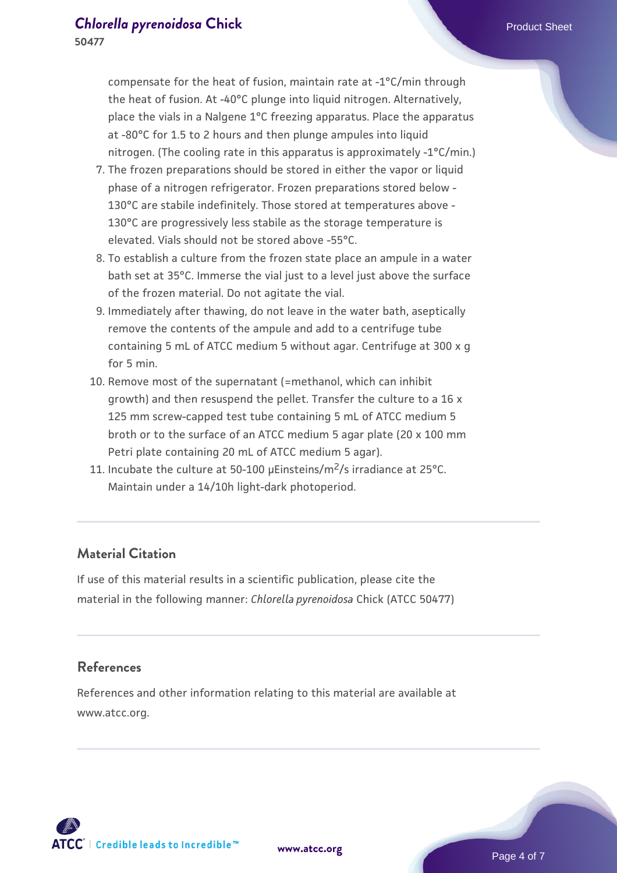compensate for the heat of fusion, maintain rate at -1°C/min through the heat of fusion. At -40°C plunge into liquid nitrogen. Alternatively, place the vials in a Nalgene 1°C freezing apparatus. Place the apparatus at -80°C for 1.5 to 2 hours and then plunge ampules into liquid nitrogen. (The cooling rate in this apparatus is approximately -1°C/min.)

- The frozen preparations should be stored in either the vapor or liquid 7. phase of a nitrogen refrigerator. Frozen preparations stored below - 130°C are stabile indefinitely. Those stored at temperatures above - 130°C are progressively less stabile as the storage temperature is elevated. Vials should not be stored above -55°C.
- To establish a culture from the frozen state place an ampule in a water 8. bath set at 35°C. Immerse the vial just to a level just above the surface of the frozen material. Do not agitate the vial.
- 9. Immediately after thawing, do not leave in the water bath, aseptically remove the contents of the ampule and add to a centrifuge tube containing 5 mL of ATCC medium 5 without agar. Centrifuge at 300 x g for 5 min.
- 10. Remove most of the supernatant (=methanol, which can inhibit growth) and then resuspend the pellet. Transfer the culture to a 16 x 125 mm screw-capped test tube containing 5 mL of ATCC medium 5 broth or to the surface of an ATCC medium 5 agar plate (20 x 100 mm Petri plate containing 20 mL of ATCC medium 5 agar).
- 11. Incubate the culture at 50-100 µEinsteins/m<sup>2</sup>/s irradiance at 25°C. Maintain under a 14/10h light-dark photoperiod.

# **Material Citation**

If use of this material results in a scientific publication, please cite the material in the following manner: *Chlorella pyrenoidosa* Chick (ATCC 50477)

### **References**

References and other information relating to this material are available at www.atcc.org.

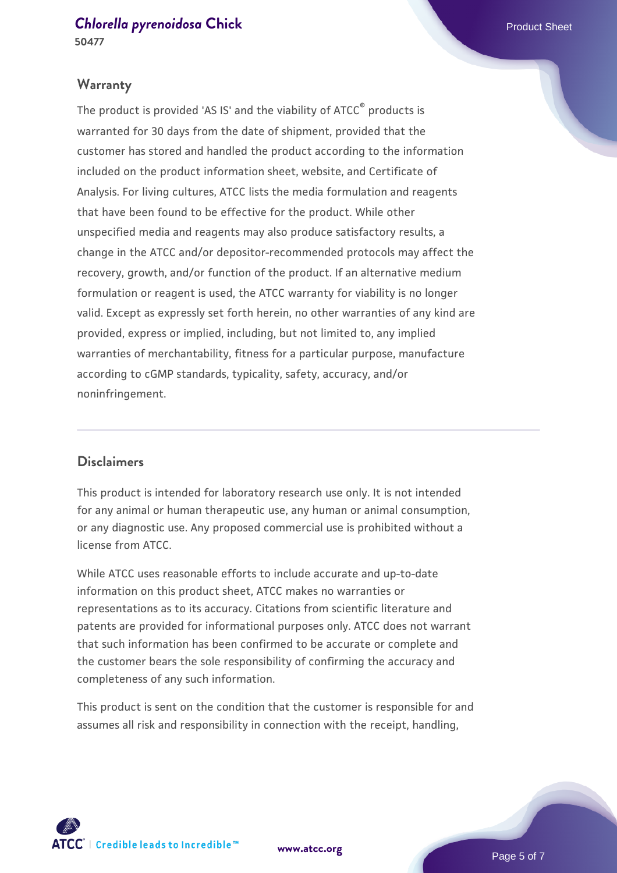## **Warranty**

The product is provided 'AS IS' and the viability of ATCC® products is warranted for 30 days from the date of shipment, provided that the customer has stored and handled the product according to the information included on the product information sheet, website, and Certificate of Analysis. For living cultures, ATCC lists the media formulation and reagents that have been found to be effective for the product. While other unspecified media and reagents may also produce satisfactory results, a change in the ATCC and/or depositor-recommended protocols may affect the recovery, growth, and/or function of the product. If an alternative medium formulation or reagent is used, the ATCC warranty for viability is no longer valid. Except as expressly set forth herein, no other warranties of any kind are provided, express or implied, including, but not limited to, any implied warranties of merchantability, fitness for a particular purpose, manufacture according to cGMP standards, typicality, safety, accuracy, and/or noninfringement.

## **Disclaimers**

This product is intended for laboratory research use only. It is not intended for any animal or human therapeutic use, any human or animal consumption, or any diagnostic use. Any proposed commercial use is prohibited without a license from ATCC.

While ATCC uses reasonable efforts to include accurate and up-to-date information on this product sheet, ATCC makes no warranties or representations as to its accuracy. Citations from scientific literature and patents are provided for informational purposes only. ATCC does not warrant that such information has been confirmed to be accurate or complete and the customer bears the sole responsibility of confirming the accuracy and completeness of any such information.

This product is sent on the condition that the customer is responsible for and assumes all risk and responsibility in connection with the receipt, handling,



**[www.atcc.org](http://www.atcc.org)**

Page 5 of 7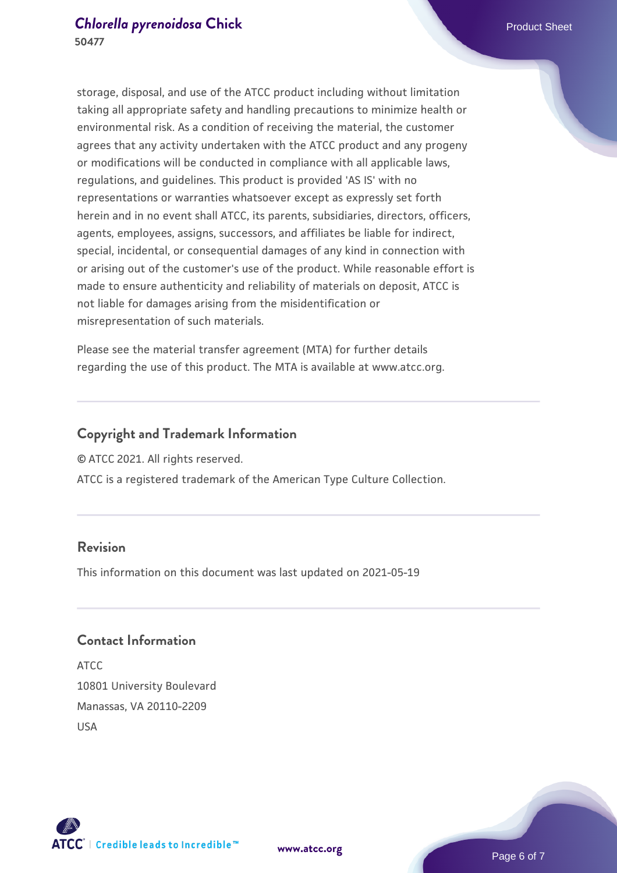storage, disposal, and use of the ATCC product including without limitation taking all appropriate safety and handling precautions to minimize health or environmental risk. As a condition of receiving the material, the customer agrees that any activity undertaken with the ATCC product and any progeny or modifications will be conducted in compliance with all applicable laws, regulations, and guidelines. This product is provided 'AS IS' with no representations or warranties whatsoever except as expressly set forth herein and in no event shall ATCC, its parents, subsidiaries, directors, officers, agents, employees, assigns, successors, and affiliates be liable for indirect, special, incidental, or consequential damages of any kind in connection with or arising out of the customer's use of the product. While reasonable effort is made to ensure authenticity and reliability of materials on deposit, ATCC is not liable for damages arising from the misidentification or misrepresentation of such materials.

Please see the material transfer agreement (MTA) for further details regarding the use of this product. The MTA is available at www.atcc.org.

# **Copyright and Trademark Information**

© ATCC 2021. All rights reserved.

ATCC is a registered trademark of the American Type Culture Collection.

## **Revision**

This information on this document was last updated on 2021-05-19

# **Contact Information**

ATCC 10801 University Boulevard Manassas, VA 20110-2209 USA